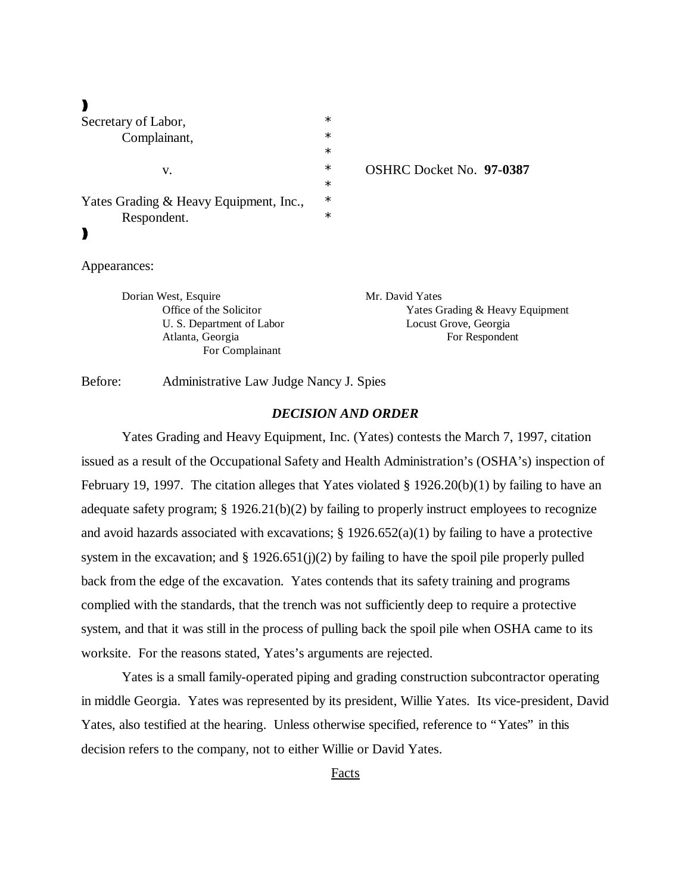| Secretary of Labor,                    | *      |                                 |
|----------------------------------------|--------|---------------------------------|
| Complainant,                           | $\ast$ |                                 |
|                                        | $\ast$ |                                 |
| V.                                     | *      | <b>OSHRC Docket No. 97-0387</b> |
|                                        | $\ast$ |                                 |
| Yates Grading & Heavy Equipment, Inc., | $\ast$ |                                 |
| Respondent.                            | $\ast$ |                                 |
|                                        |        |                                 |
| Appearances:                           |        |                                 |
| Dorian West, Esquire                   |        | Mr. David Yates                 |
| Office of the Solicitor                |        | Yates Grading & Heavy Equipment |

U. S. Department of Labor Locust Grove, Georgia Atlanta, Georgia For Respondent For Complainant

Before: Administrative Law Judge Nancy J. Spies

#### *DECISION AND ORDER*

Yates Grading and Heavy Equipment, Inc. (Yates) contests the March 7, 1997, citation issued as a result of the Occupational Safety and Health Administration's (OSHA's) inspection of February 19, 1997. The citation alleges that Yates violated § 1926.20(b)(1) by failing to have an adequate safety program; § 1926.21(b)(2) by failing to properly instruct employees to recognize and avoid hazards associated with excavations;  $\S 1926.652(a)(1)$  by failing to have a protective system in the excavation; and  $\S 1926.651(j)(2)$  by failing to have the spoil pile properly pulled back from the edge of the excavation. Yates contends that its safety training and programs complied with the standards, that the trench was not sufficiently deep to require a protective system, and that it was still in the process of pulling back the spoil pile when OSHA came to its worksite. For the reasons stated, Yates's arguments are rejected.

Yates is a small family-operated piping and grading construction subcontractor operating in middle Georgia. Yates was represented by its president, Willie Yates. Its vice-president, David Yates, also testified at the hearing. Unless otherwise specified, reference to "Yates" in this decision refers to the company, not to either Willie or David Yates.

#### Facts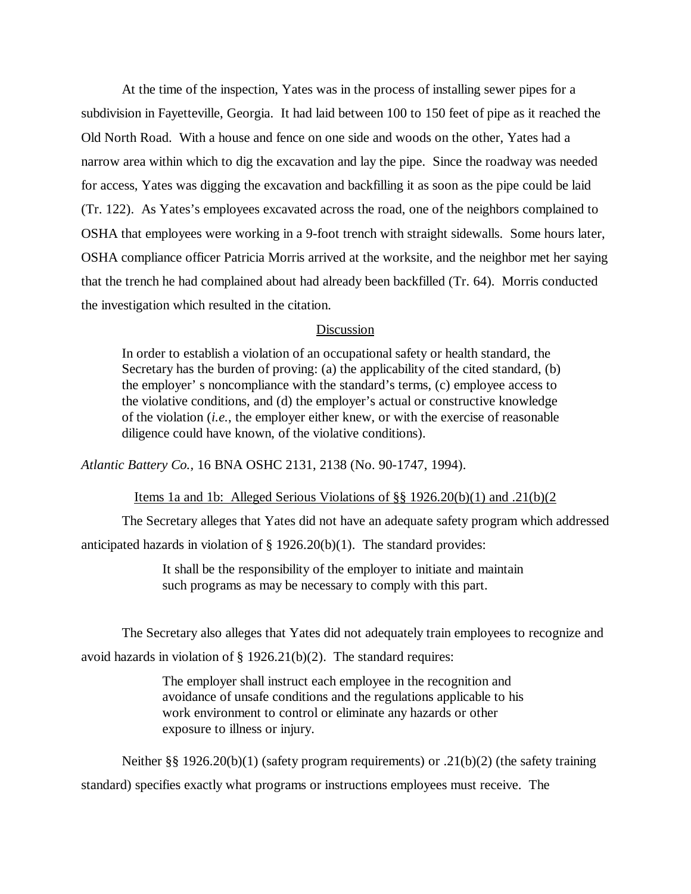At the time of the inspection, Yates was in the process of installing sewer pipes for a subdivision in Fayetteville, Georgia. It had laid between 100 to 150 feet of pipe as it reached the Old North Road. With a house and fence on one side and woods on the other, Yates had a narrow area within which to dig the excavation and lay the pipe. Since the roadway was needed for access, Yates was digging the excavation and backfilling it as soon as the pipe could be laid (Tr. 122). As Yates's employees excavated across the road, one of the neighbors complained to OSHA that employees were working in a 9-foot trench with straight sidewalls. Some hours later, OSHA compliance officer Patricia Morris arrived at the worksite, and the neighbor met her saying that the trench he had complained about had already been backfilled (Tr. 64). Morris conducted the investigation which resulted in the citation.

# Discussion

In order to establish a violation of an occupational safety or health standard, the Secretary has the burden of proving: (a) the applicability of the cited standard, (b) the employer' s noncompliance with the standard's terms, (c) employee access to the violative conditions, and (d) the employer's actual or constructive knowledge of the violation (*i.e.*, the employer either knew, or with the exercise of reasonable diligence could have known, of the violative conditions).

*Atlantic Battery Co.,* 16 BNA OSHC 2131, 2138 (No. 90-1747, 1994).

Items 1a and 1b: Alleged Serious Violations of §§ 1926.20(b)(1) and .21(b)(2

The Secretary alleges that Yates did not have an adequate safety program which addressed anticipated hazards in violation of § 1926.20(b)(1). The standard provides:

> It shall be the responsibility of the employer to initiate and maintain such programs as may be necessary to comply with this part.

The Secretary also alleges that Yates did not adequately train employees to recognize and avoid hazards in violation of § 1926.21(b)(2). The standard requires:

> The employer shall instruct each employee in the recognition and avoidance of unsafe conditions and the regulations applicable to his work environment to control or eliminate any hazards or other exposure to illness or injury.

Neither §§ 1926.20(b)(1) (safety program requirements) or .21(b)(2) (the safety training standard) specifies exactly what programs or instructions employees must receive. The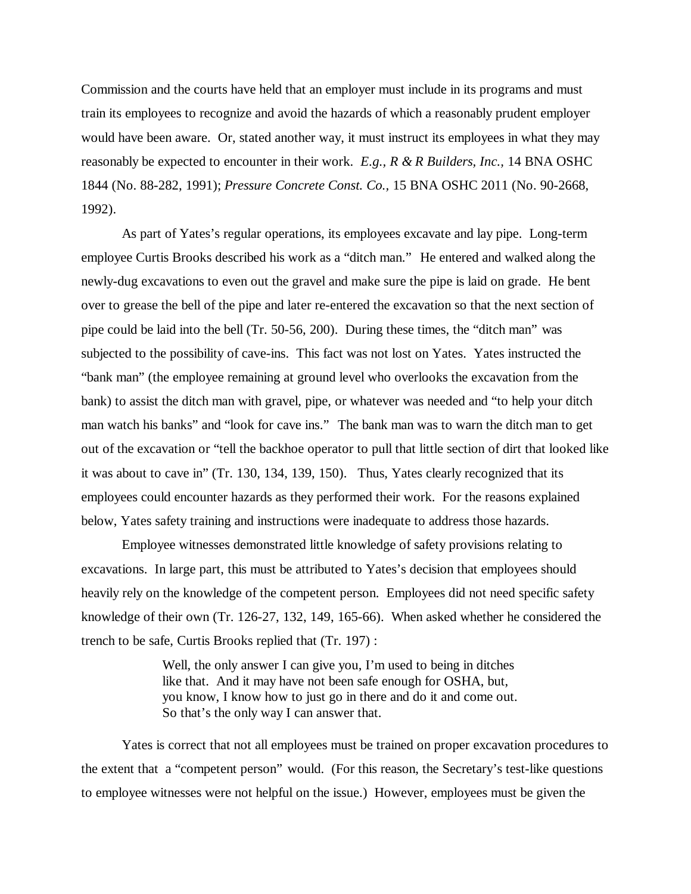Commission and the courts have held that an employer must include in its programs and must train its employees to recognize and avoid the hazards of which a reasonably prudent employer would have been aware. Or, stated another way, it must instruct its employees in what they may reasonably be expected to encounter in their work. *E.g., R & R Builders, Inc.,* 14 BNA OSHC 1844 (No. 88-282, 1991); *Pressure Concrete Const. Co.,* 15 BNA OSHC 2011 (No. 90-2668, 1992).

As part of Yates's regular operations, its employees excavate and lay pipe. Long-term employee Curtis Brooks described his work as a "ditch man." He entered and walked along the newly-dug excavations to even out the gravel and make sure the pipe is laid on grade. He bent over to grease the bell of the pipe and later re-entered the excavation so that the next section of pipe could be laid into the bell (Tr. 50-56, 200). During these times, the "ditch man" was subjected to the possibility of cave-ins. This fact was not lost on Yates. Yates instructed the "bank man" (the employee remaining at ground level who overlooks the excavation from the bank) to assist the ditch man with gravel, pipe, or whatever was needed and "to help your ditch man watch his banks" and "look for cave ins." The bank man was to warn the ditch man to get out of the excavation or "tell the backhoe operator to pull that little section of dirt that looked like it was about to cave in" (Tr. 130, 134, 139, 150). Thus, Yates clearly recognized that its employees could encounter hazards as they performed their work. For the reasons explained below, Yates safety training and instructions were inadequate to address those hazards.

Employee witnesses demonstrated little knowledge of safety provisions relating to excavations. In large part, this must be attributed to Yates's decision that employees should heavily rely on the knowledge of the competent person. Employees did not need specific safety knowledge of their own (Tr. 126-27, 132, 149, 165-66). When asked whether he considered the trench to be safe, Curtis Brooks replied that (Tr. 197) :

> Well, the only answer I can give you, I'm used to being in ditches like that. And it may have not been safe enough for OSHA, but, you know, I know how to just go in there and do it and come out. So that's the only way I can answer that.

Yates is correct that not all employees must be trained on proper excavation procedures to the extent that a "competent person" would. (For this reason, the Secretary's test-like questions to employee witnesses were not helpful on the issue.) However, employees must be given the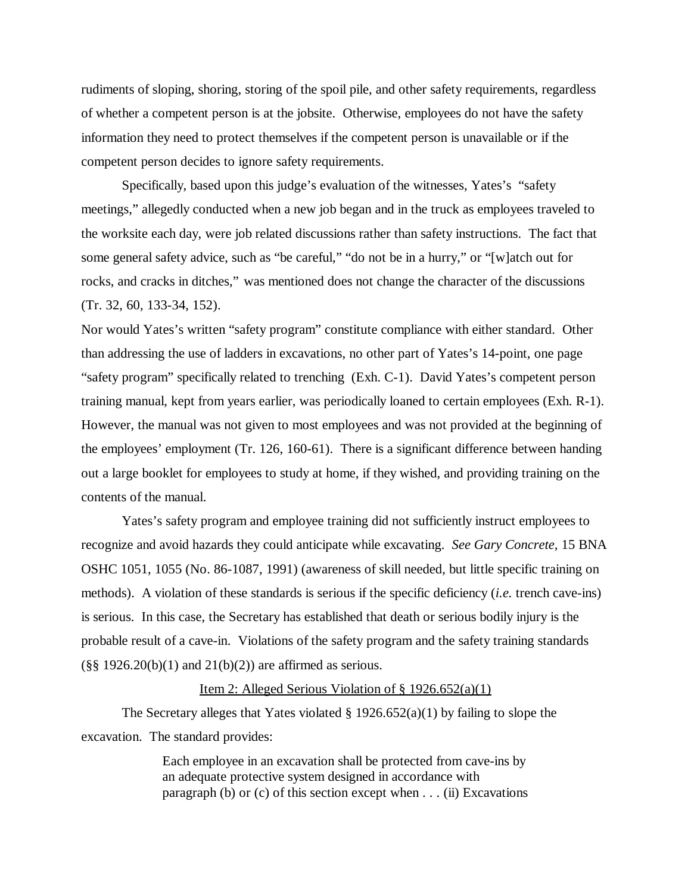rudiments of sloping, shoring, storing of the spoil pile, and other safety requirements, regardless of whether a competent person is at the jobsite. Otherwise, employees do not have the safety information they need to protect themselves if the competent person is unavailable or if the competent person decides to ignore safety requirements.

Specifically, based upon this judge's evaluation of the witnesses, Yates's "safety meetings," allegedly conducted when a new job began and in the truck as employees traveled to the worksite each day, were job related discussions rather than safety instructions. The fact that some general safety advice, such as "be careful," "do not be in a hurry," or "[w]atch out for rocks, and cracks in ditches," was mentioned does not change the character of the discussions (Tr. 32, 60, 133-34, 152).

Nor would Yates's written "safety program" constitute compliance with either standard. Other than addressing the use of ladders in excavations, no other part of Yates's 14-point, one page "safety program" specifically related to trenching (Exh. C-1). David Yates's competent person training manual, kept from years earlier, was periodically loaned to certain employees (Exh. R-1). However, the manual was not given to most employees and was not provided at the beginning of the employees' employment (Tr. 126, 160-61). There is a significant difference between handing out a large booklet for employees to study at home, if they wished, and providing training on the contents of the manual.

Yates's safety program and employee training did not sufficiently instruct employees to recognize and avoid hazards they could anticipate while excavating. *See Gary Concrete,* 15 BNA OSHC 1051, 1055 (No. 86-1087, 1991) (awareness of skill needed, but little specific training on methods). A violation of these standards is serious if the specific deficiency (*i.e.* trench cave-ins) is serious. In this case, the Secretary has established that death or serious bodily injury is the probable result of a cave-in. Violations of the safety program and the safety training standards  $(\frac{8}{8}, \frac{1926.20(b)(1)}{1})$  and  $21(b)(2))$  are affirmed as serious.

# Item 2: Alleged Serious Violation of § 1926.652(a)(1)

The Secretary alleges that Yates violated  $\S 1926.652(a)(1)$  by failing to slope the excavation. The standard provides:

> Each employee in an excavation shall be protected from cave-ins by an adequate protective system designed in accordance with paragraph (b) or  $(c)$  of this section except when  $\dots$  (ii) Excavations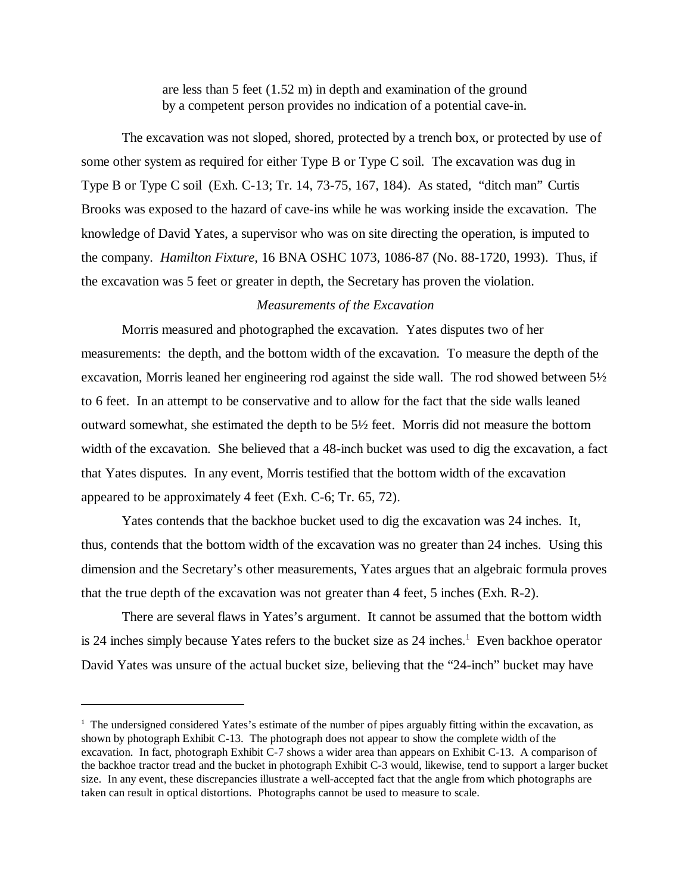are less than 5 feet (1.52 m) in depth and examination of the ground by a competent person provides no indication of a potential cave-in.

The excavation was not sloped, shored, protected by a trench box, or protected by use of some other system as required for either Type B or Type C soil. The excavation was dug in Type B or Type C soil (Exh. C-13; Tr. 14, 73-75, 167, 184). As stated, "ditch man" Curtis Brooks was exposed to the hazard of cave-ins while he was working inside the excavation. The knowledge of David Yates, a supervisor who was on site directing the operation, is imputed to the company. *Hamilton Fixture,* 16 BNA OSHC 1073, 1086-87 (No. 88-1720, 1993). Thus, if the excavation was 5 feet or greater in depth, the Secretary has proven the violation.

# *Measurements of the Excavation*

Morris measured and photographed the excavation. Yates disputes two of her measurements: the depth, and the bottom width of the excavation. To measure the depth of the excavation, Morris leaned her engineering rod against the side wall. The rod showed between  $5\frac{1}{2}$ to 6 feet. In an attempt to be conservative and to allow for the fact that the side walls leaned outward somewhat, she estimated the depth to be 5½ feet. Morris did not measure the bottom width of the excavation. She believed that a 48-inch bucket was used to dig the excavation, a fact that Yates disputes. In any event, Morris testified that the bottom width of the excavation appeared to be approximately 4 feet (Exh. C-6; Tr. 65, 72).

Yates contends that the backhoe bucket used to dig the excavation was 24 inches. It, thus, contends that the bottom width of the excavation was no greater than 24 inches. Using this dimension and the Secretary's other measurements, Yates argues that an algebraic formula proves that the true depth of the excavation was not greater than 4 feet, 5 inches (Exh. R-2).

There are several flaws in Yates's argument. It cannot be assumed that the bottom width is 24 inches simply because Yates refers to the bucket size as 24 inches.<sup>1</sup> Even backhoe operator David Yates was unsure of the actual bucket size, believing that the "24-inch" bucket may have

<sup>&</sup>lt;sup>1</sup> The undersigned considered Yates's estimate of the number of pipes arguably fitting within the excavation, as shown by photograph Exhibit C-13. The photograph does not appear to show the complete width of the excavation. In fact, photograph Exhibit C-7 shows a wider area than appears on Exhibit C-13. A comparison of the backhoe tractor tread and the bucket in photograph Exhibit C-3 would, likewise, tend to support a larger bucket size. In any event, these discrepancies illustrate a well-accepted fact that the angle from which photographs are taken can result in optical distortions. Photographs cannot be used to measure to scale.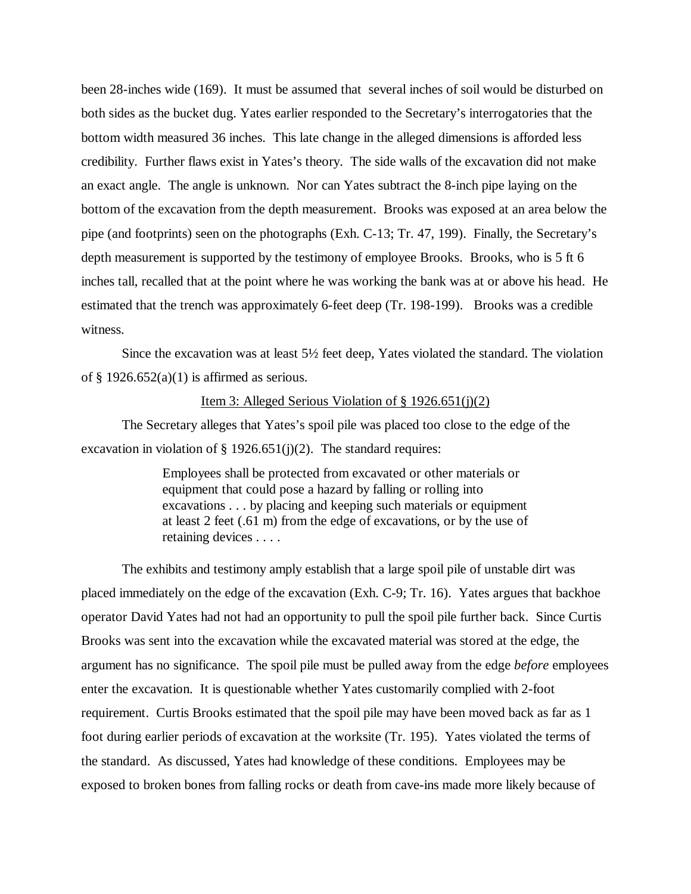been 28-inches wide (169). It must be assumed that several inches of soil would be disturbed on both sides as the bucket dug. Yates earlier responded to the Secretary's interrogatories that the bottom width measured 36 inches. This late change in the alleged dimensions is afforded less credibility. Further flaws exist in Yates's theory. The side walls of the excavation did not make an exact angle. The angle is unknown. Nor can Yates subtract the 8-inch pipe laying on the bottom of the excavation from the depth measurement. Brooks was exposed at an area below the pipe (and footprints) seen on the photographs (Exh. C-13; Tr. 47, 199). Finally, the Secretary's depth measurement is supported by the testimony of employee Brooks. Brooks, who is 5 ft 6 inches tall, recalled that at the point where he was working the bank was at or above his head. He estimated that the trench was approximately 6-feet deep (Tr. 198-199). Brooks was a credible witness.

Since the excavation was at least 5½ feet deep, Yates violated the standard. The violation of  $\S$  1926.652(a)(1) is affirmed as serious.

# Item 3: Alleged Serious Violation of § 1926.651(j)(2)

The Secretary alleges that Yates's spoil pile was placed too close to the edge of the excavation in violation of § 1926.651(j)(2). The standard requires:

> Employees shall be protected from excavated or other materials or equipment that could pose a hazard by falling or rolling into excavations . . . by placing and keeping such materials or equipment at least 2 feet (.61 m) from the edge of excavations, or by the use of retaining devices . . . .

The exhibits and testimony amply establish that a large spoil pile of unstable dirt was placed immediately on the edge of the excavation (Exh. C-9; Tr. 16). Yates argues that backhoe operator David Yates had not had an opportunity to pull the spoil pile further back. Since Curtis Brooks was sent into the excavation while the excavated material was stored at the edge, the argument has no significance. The spoil pile must be pulled away from the edge *before* employees enter the excavation. It is questionable whether Yates customarily complied with 2-foot requirement. Curtis Brooks estimated that the spoil pile may have been moved back as far as 1 foot during earlier periods of excavation at the worksite (Tr. 195). Yates violated the terms of the standard. As discussed, Yates had knowledge of these conditions. Employees may be exposed to broken bones from falling rocks or death from cave-ins made more likely because of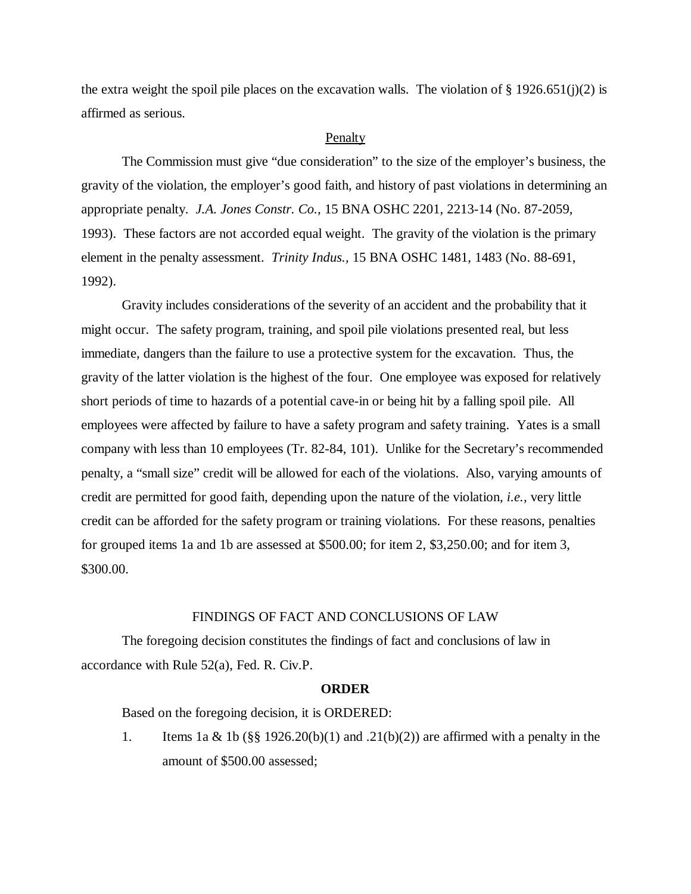the extra weight the spoil pile places on the excavation walls. The violation of  $\S 1926.651(j)(2)$  is affirmed as serious.

#### Penalty

The Commission must give "due consideration" to the size of the employer's business, the gravity of the violation, the employer's good faith, and history of past violations in determining an appropriate penalty. *J.A. Jones Constr. Co.,* 15 BNA OSHC 2201, 2213-14 (No. 87-2059, 1993). These factors are not accorded equal weight. The gravity of the violation is the primary element in the penalty assessment. *Trinity Indus.,* 15 BNA OSHC 1481, 1483 (No. 88-691, 1992).

Gravity includes considerations of the severity of an accident and the probability that it might occur. The safety program, training, and spoil pile violations presented real, but less immediate, dangers than the failure to use a protective system for the excavation. Thus, the gravity of the latter violation is the highest of the four. One employee was exposed for relatively short periods of time to hazards of a potential cave-in or being hit by a falling spoil pile. All employees were affected by failure to have a safety program and safety training. Yates is a small company with less than 10 employees (Tr. 82-84, 101). Unlike for the Secretary's recommended penalty, a "small size" credit will be allowed for each of the violations. Also, varying amounts of credit are permitted for good faith, depending upon the nature of the violation, *i.e.,* very little credit can be afforded for the safety program or training violations. For these reasons, penalties for grouped items 1a and 1b are assessed at \$500.00; for item 2, \$3,250.00; and for item 3, \$300.00.

#### FINDINGS OF FACT AND CONCLUSIONS OF LAW

The foregoing decision constitutes the findings of fact and conclusions of law in accordance with Rule 52(a), Fed. R. Civ.P.

# **ORDER**

Based on the foregoing decision, it is ORDERED:

1. Items 1a & 1b  $(\S\$  1926.20(b)(1) and .21(b)(2)) are affirmed with a penalty in the amount of \$500.00 assessed;